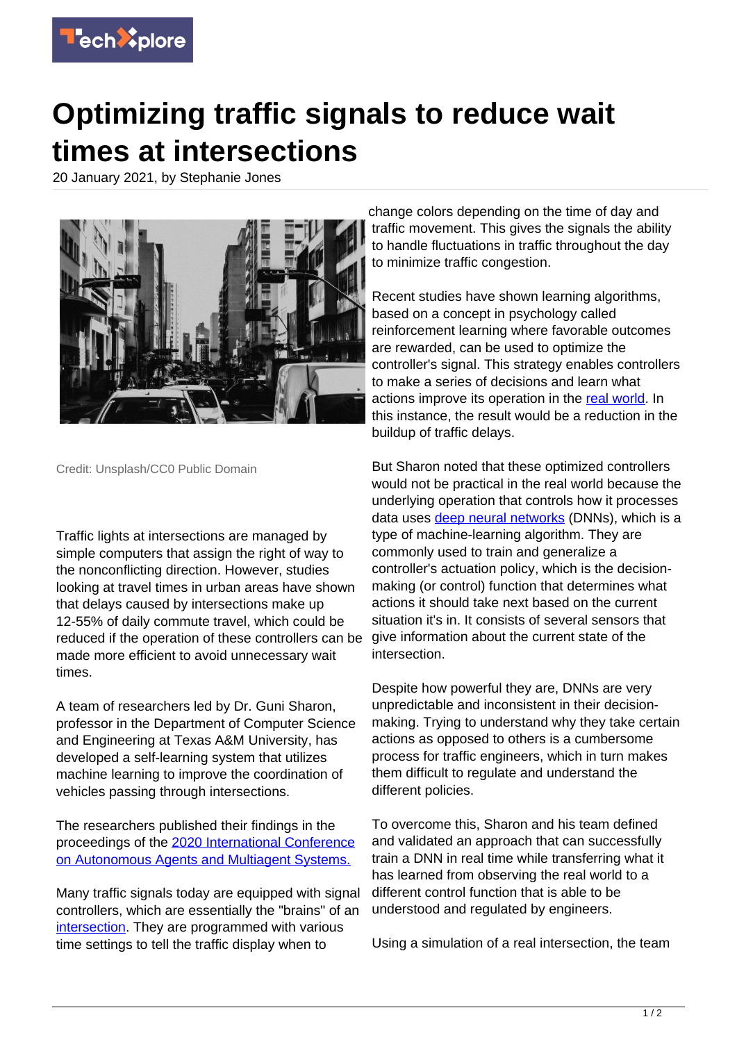

## **Optimizing traffic signals to reduce wait times at intersections**

20 January 2021, by Stephanie Jones



Credit: Unsplash/CC0 Public Domain

Traffic lights at intersections are managed by simple computers that assign the right of way to the nonconflicting direction. However, studies looking at travel times in urban areas have shown that delays caused by intersections make up 12-55% of daily commute travel, which could be reduced if the operation of these controllers can be made more efficient to avoid unnecessary wait times.

A team of researchers led by Dr. Guni Sharon, professor in the Department of Computer Science and Engineering at Texas A&M University, has developed a self-learning system that utilizes machine learning to improve the coordination of vehicles passing through intersections.

The researchers published their findings in the proceedings of the [2020 International Conference](http://ifaamas.org/Proceedings/aamas2020/pdfs/p88.pdf) [on Autonomous Agents and Multiagent Systems.](http://ifaamas.org/Proceedings/aamas2020/pdfs/p88.pdf)

Many traffic signals today are equipped with signal controllers, which are essentially the "brains" of an [intersection.](https://techxplore.com/tags/intersection/) They are programmed with various time settings to tell the traffic display when to

change colors depending on the time of day and traffic movement. This gives the signals the ability to handle fluctuations in traffic throughout the day to minimize traffic congestion.

Recent studies have shown learning algorithms, based on a concept in psychology called reinforcement learning where favorable outcomes are rewarded, can be used to optimize the controller's signal. This strategy enables controllers to make a series of decisions and learn what actions improve its operation in the [real world](https://techxplore.com/tags/real+world/). In this instance, the result would be a reduction in the buildup of traffic delays.

But Sharon noted that these optimized controllers would not be practical in the real world because the underlying operation that controls how it processes data uses [deep neural networks](https://techxplore.com/tags/deep+neural+networks/) (DNNs), which is a type of machine-learning algorithm. They are commonly used to train and generalize a controller's actuation policy, which is the decisionmaking (or control) function that determines what actions it should take next based on the current situation it's in. It consists of several sensors that give information about the current state of the intersection.

Despite how powerful they are, DNNs are very unpredictable and inconsistent in their decisionmaking. Trying to understand why they take certain actions as opposed to others is a cumbersome process for traffic engineers, which in turn makes them difficult to regulate and understand the different policies.

To overcome this, Sharon and his team defined and validated an approach that can successfully train a DNN in real time while transferring what it has learned from observing the real world to a different control function that is able to be understood and regulated by engineers.

Using a simulation of a real intersection, the team